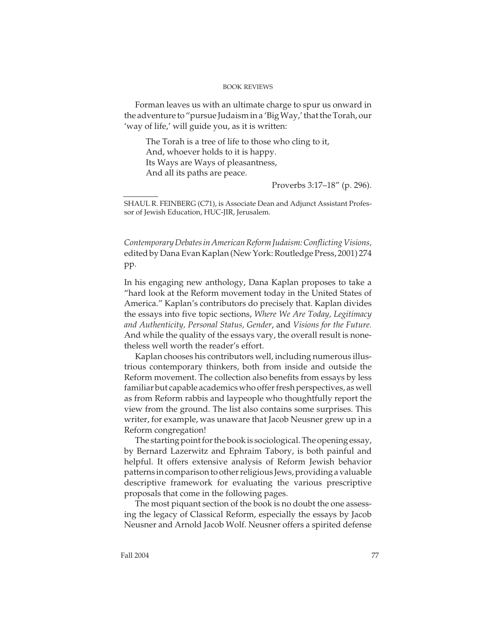## BOOK REVIEWS

Forman leaves us with an ultimate charge to spur us onward in the adventure to "pursue Judaism in a 'Big Way,' that the Torah, our 'way of life,' will guide you, as it is written:

The Torah is a tree of life to those who cling to it, And, whoever holds to it is happy. Its Ways are Ways of pleasantness, And all its paths are peace.

Proverbs 3:17–18" (p. 296).

SHAUL R. FEINBERG (C71), is Associate Dean and Adjunct Assistant Professor of Jewish Education, HUC-JIR, Jerusalem.

Contemporary Debates in American Reform Judaism: Conflicting Visions, edited by Dana Evan Kaplan (New York: Routledge Press, 2001) 274 pp.

In his engaging new anthology, Dana Kaplan proposes to take a "hard look at the Reform movement today in the United States of America." Kaplan's contributors do precisely that. Kaplan divides the essays into five topic sections, Where We Are Today, Legitimacy and Authenticity, Personal Status, Gender, and Visions for the Future. And while the quality of the essays vary, the overall result is nonetheless well worth the reader's effort.

Kaplan chooses his contributors well, including numerous illustrious contemporary thinkers, both from inside and outside the Reform movement. The collection also benefits from essays by less familiar but capable academics who offer fresh perspectives, as well as from Reform rabbis and laypeople who thoughtfully report the view from the ground. The list also contains some surprises. This writer, for example, was unaware that Jacob Neusner grew up in a Reform congregation!

The starting point for the book is sociological. The opening essay, by Bernard Lazerwitz and Ephraim Tabory, is both painful and helpful. It offers extensive analysis of Reform Jewish behavior patterns in comparison to other religious Jews, providing a valuable descriptive framework for evaluating the various prescriptive proposals that come in the following pages.

The most piquant section of the book is no doubt the one assessing the legacy of Classical Reform, especially the essays by Jacob Neusner and Arnold Jacob Wolf. Neusner offers a spirited defense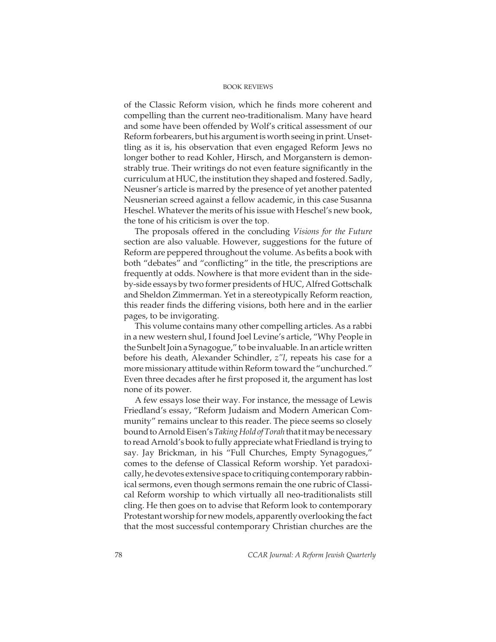## BOOK REVIEWS

of the Classic Reform vision, which he finds more coherent and compelling than the current neo-traditionalism. Many have heard and some have been offended by Wolf's critical assessment of our Reform forbearers, but his argument is worth seeing in print. Unsettling as it is, his observation that even engaged Reform Jews no longer bother to read Kohler, Hirsch, and Morganstern is demonstrably true. Their writings do not even feature significantly in the curriculum at HUC, the institution they shaped and fostered. Sadly, Neusner's article is marred by the presence of yet another patented Neusnerian screed against a fellow academic, in this case Susanna Heschel. Whatever the merits of his issue with Heschel's new book, the tone of his criticism is over the top.

The proposals offered in the concluding Visions for the Future section are also valuable. However, suggestions for the future of Reform are peppered throughout the volume. As befits a book with both "debates" and "conflicting" in the title, the prescriptions are frequently at odds. Nowhere is that more evident than in the sideby-side essays by two former presidents of HUC, Alfred Gottschalk and Sheldon Zimmerman. Yet in a stereotypically Reform reaction, this reader finds the differing visions, both here and in the earlier pages, to be invigorating.

This volume contains many other compelling articles. As a rabbi in a new western shul, I found Joel Levine's article, "Why People in the Sunbelt Join a Synagogue," to be invaluable. In an article written before his death, Alexander Schindler, z"l, repeats his case for a more missionary attitude within Reform toward the "unchurched." Even three decades after he first proposed it, the argument has lost none of its power.

A few essays lose their way. For instance, the message of Lewis Friedland's essay, "Reform Judaism and Modern American Community" remains unclear to this reader. The piece seems so closely bound to Arnold Eisen's Taking Hold of Torah that it may be necessary to read Arnold's book to fully appreciate what Friedland is trying to say. Jay Brickman, in his "Full Churches, Empty Synagogues," comes to the defense of Classical Reform worship. Yet paradoxically, he devotes extensive space to critiquing contemporary rabbinical sermons, even though sermons remain the one rubric of Classical Reform worship to which virtually all neo-traditionalists still cling. He then goes on to advise that Reform look to contemporary Protestant worship for new models, apparently overlooking the fact that the most successful contemporary Christian churches are the